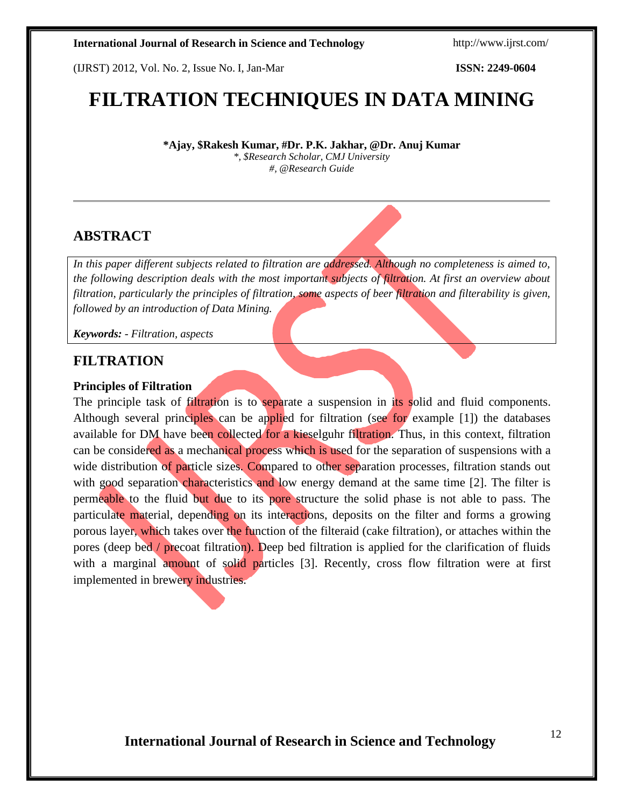(IJRST) 2012, Vol. No. 2, Issue No. I, Jan-Mar **ISSN: 2249-0604**

# **FILTRATION TECHNIQUES IN DATA MINING**

**\*Ajay, \$Rakesh Kumar, #Dr. P.K. Jakhar, @Dr. Anuj Kumar** *\*, \$Research Scholar, CMJ University #, @Research Guide*

### **ABSTRACT**

*In this paper different subjects related to filtration are addressed. Although no completeness is aimed to, the following description deals with the most important subjects of filtration. At first an overview about filtration, particularly the principles of filtration, some aspects of beer filtration and filterability is given, followed by an introduction of Data Mining.*

*Keywords: - Filtration, aspects*

### **FILTRATION**

### **Principles of Filtration**

The principle task of filtration is to separate a suspension in its solid and fluid components. Although several principles can be applied for filtration (see for example [1]) the databases available for DM have been collected for a kieselguhr filtration. Thus, in this context, filtration can be considered as a mechanical process which is used for the separation of suspensions with a wide distribution of particle sizes. Compared to other separation processes, filtration stands out with good separation characteristics and low energy demand at the same time [2]. The filter is permeable to the fluid but due to its pore structure the solid phase is not able to pass. The particulate material, depending on its interactions, deposits on the filter and forms a growing porous layer, which takes over the function of the filteraid (cake filtration), or attaches within the pores (deep bed / precoat filtration). Deep bed filtration is applied for the clarification of fluids with a marginal amount of solid particles [3]. Recently, cross flow filtration were at first implemented in brewery industries.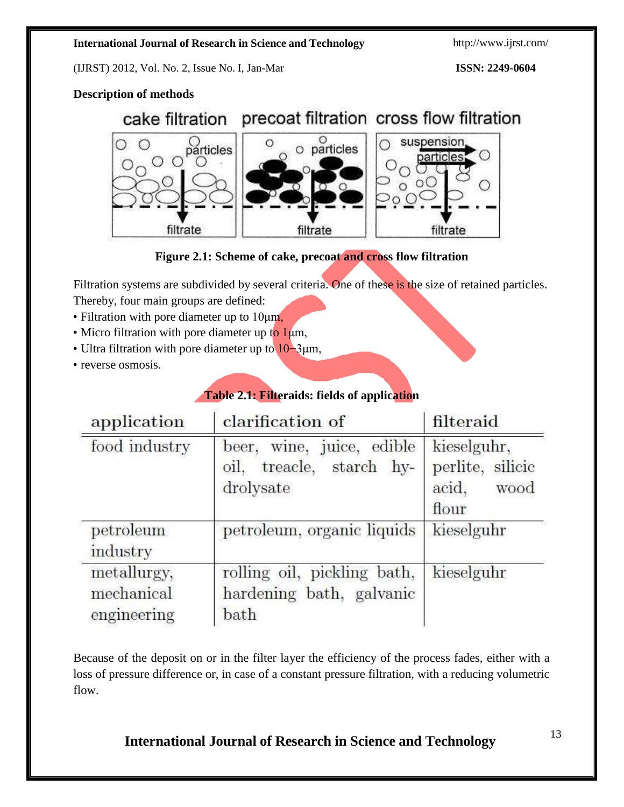(IJRST) 2012, Vol. No. 2, Issue No. I, Jan-Mar **ISSN: 2249-0604**

### **Description of methods**

### cake filtration precoat filtration cross flow filtration  $\circ$  particles particles suspension ∩ particle  $\circ$ C filtrate filtrate filtrate

**Figure 2.1: Scheme of cake, precoat and cross flow filtration**

Filtration systems are subdivided by several criteria. One of these is the size of retained particles.

- Thereby, four main groups are defined:
- Filtration with pore diameter up to 10μm,
- Micro filtration with pore diameter up to  $1\mu$ m,
- Ultra filtration with pore diameter up to 10−3μm,
- reverse osmosis.

### **Table 2.1: Filteraids: fields of application**

| application                              | clarification of                                                         | filteraid                                                 |
|------------------------------------------|--------------------------------------------------------------------------|-----------------------------------------------------------|
| food industry                            | wine, juice, edible<br>beer.<br>treacle, starch hy-<br>oil,<br>drolysate | kieselguhr,<br>perlite, silicic<br>acid,<br>wood<br>flour |
| petroleum<br>industry                    | petroleum, organic liquids                                               | kieselguhr                                                |
| metallurgy,<br>mechanical<br>engineering | rolling oil, pickling bath,<br>hardening bath, galvanic<br>bath          | kieselguhr                                                |

Because of the deposit on or in the filter layer the efficiency of the process fades, either with a loss of pressure difference or, in case of a constant pressure filtration, with a reducing volumetric flow.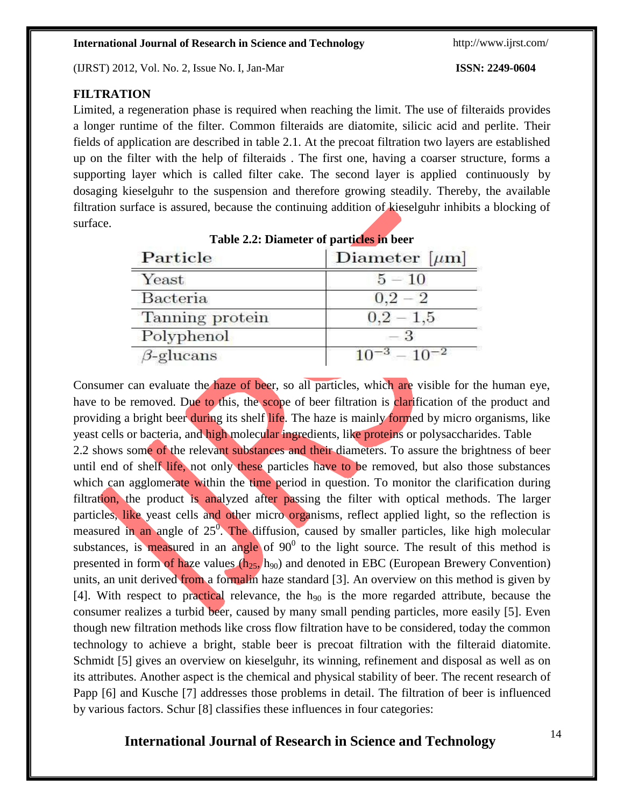(IJRST) 2012, Vol. No. 2, Issue No. I, Jan-Mar **ISSN: 2249-0604**

Particle

Yeast

### $0.2 - 2$ **Bacteria**  $0,2-1,5$ Tanning protein  $-3$ Polyphenol  $\beta$ -glucans  $10^{-3} - 10^{-2}$

### **FILTRATION**

Limited, a regeneration phase is required when reaching the limit. The use of filteraids provides a longer runtime of the filter. Common filteraids are diatomite, silicic acid and perlite. Their fields of application are described in table 2.1. At the precoat filtration two layers are established up on the filter with the help of filteraids . The first one, having a coarser structure, forms a supporting layer which is called filter cake. The second layer is applied continuously by dosaging kieselguhr to the suspension and therefore growing steadily. Thereby, the available filtration surface is assured, because the continuing addition of kieselguhr inhibits a blocking of surface.

**Table 2.2: Diameter of particles in beer**

Diameter  $[\mu m]$ 

 $5 - 10$ 

Consumer can evaluate the haze of beer, so all particles, which are visible for the human eye,

have to be removed. Due to this, the scope of beer filtration is clarification of the product and providing a bright beer during its shelf life. The haze is mainly formed by micro organisms, like yeast cells or bacteria, and high molecular ingredients, like proteins or polysaccharides. Table 2.2 shows some of the relevant substances and their diameters. To assure the brightness of beer until end of shelf life, not only these particles have to be removed, but also those substances which can agglomerate within the time period in question. To monitor the clarification during filtration, the product is analyzed after passing the filter with optical methods. The larger particles, like yeast cells and other micro organisms, reflect applied light, so the reflection is measured in an angle of 25<sup>0</sup>. The diffusion, caused by smaller particles, like high molecular substances, is measured in an angle of  $90^0$  to the light source. The result of this method is presented in form of haze values  $(h_{25}, h_{90})$  and denoted in EBC (European Brewery Convention) units, an unit derived from a formalin haze standard [3]. An overview on this method is given by [4]. With respect to practical relevance, the  $h_{90}$  is the more regarded attribute, because the consumer realizes a turbid beer, caused by many small pending particles, more easily [5]. Even though new filtration methods like cross flow filtration have to be considered, today the common technology to achieve a bright, stable beer is precoat filtration with the filteraid diatomite. Schmidt [5] gives an overview on kieselguhr, its winning, refinement and disposal as well as on its attributes. Another aspect is the chemical and physical stability of beer. The recent research of Papp [6] and Kusche [7] addresses those problems in detail. The filtration of beer is influenced by various factors. Schur [8] classifies these influences in four categories: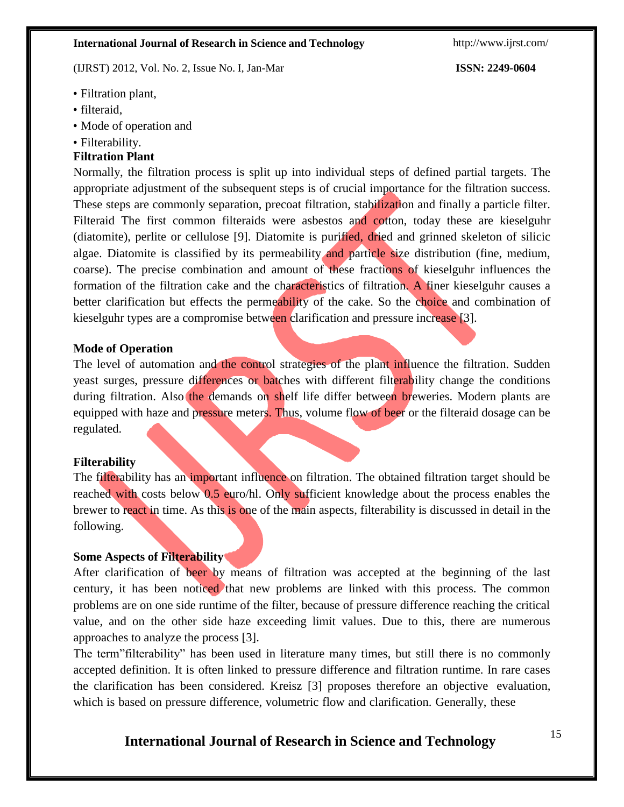(IJRST) 2012, Vol. No. 2, Issue No. I, Jan-Mar **ISSN: 2249-0604**

- Filtration plant,
- filteraid.
- Mode of operation and
- Filterability.

### **Filtration Plant**

Normally, the filtration process is split up into individual steps of defined partial targets. The appropriate adjustment of the subsequent steps is of crucial importance for the filtration success. These steps are commonly separation, precoat filtration, stabilization and finally a particle filter. Filteraid The first common filteraids were asbestos and cotton, today these are kieselguhr (diatomite), perlite or cellulose [9]. Diatomite is purified, dried and grinned skeleton of silicic algae. Diatomite is classified by its permeability and particle size distribution (fine, medium, coarse). The precise combination and amount of these fractions of kieselguhr influences the formation of the filtration cake and the characteristics of filtration. A finer kieselguhr causes a better clarification but effects the permeability of the cake. So the choice and combination of kieselguhr types are a compromise between clarification and pressure increase [3].

### **Mode of Operation**

The level of automation and the control strategies of the plant influence the filtration. Sudden yeast surges, pressure differences or batches with different filterability change the conditions during filtration. Also the demands on shelf life differ between breweries. Modern plants are equipped with haze and pressure meters. Thus, volume flow of beer or the filteraid dosage can be regulated.

### **Filterability**

The filterability has an important influence on filtration. The obtained filtration target should be reached with costs below 0.5 euro/hl. Only sufficient knowledge about the process enables the brewer to react in time. As this is one of the main aspects, filterability is discussed in detail in the following.

### **Some Aspects of Filterability**

After clarification of beer by means of filtration was accepted at the beginning of the last century, it has been noticed that new problems are linked with this process. The common problems are on one side runtime of the filter, because of pressure difference reaching the critical value, and on the other side haze exceeding limit values. Due to this, there are numerous approaches to analyze the process [3].

The term"filterability" has been used in literature many times, but still there is no commonly accepted definition. It is often linked to pressure difference and filtration runtime. In rare cases the clarification has been considered. Kreisz [3] proposes therefore an objective evaluation, which is based on pressure difference, volumetric flow and clarification. Generally, these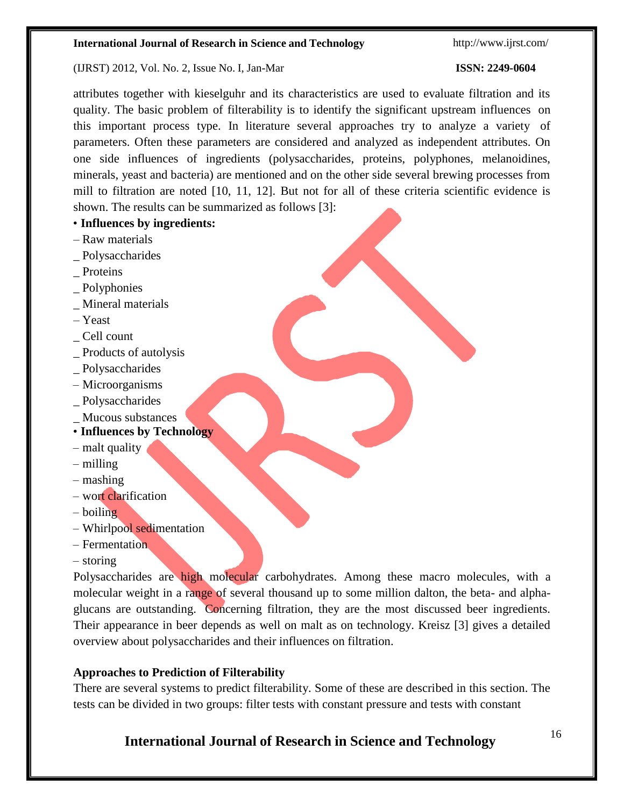### (IJRST) 2012, Vol. No. 2, Issue No. I, Jan-Mar **ISSN: 2249-0604**

attributes together with kieselguhr and its characteristics are used to evaluate filtration and its quality. The basic problem of filterability is to identify the significant upstream influences on this important process type. In literature several approaches try to analyze a variety of parameters. Often these parameters are considered and analyzed as independent attributes. On one side influences of ingredients (polysaccharides, proteins, polyphones, melanoidines, minerals, yeast and bacteria) are mentioned and on the other side several brewing processes from mill to filtration are noted [10, 11, 12]. But not for all of these criteria scientific evidence is shown. The results can be summarized as follows [3]:

- **Influences by ingredients:**
- Raw materials
- \_ Polysaccharides
- \_ Proteins
- \_ Polyphonies
- Mineral materials
- Yeast
- \_ Cell count
- \_ Products of autolysis
- \_ Polysaccharides
- Microorganisms
- \_ Polysaccharides
- \_ Mucous substances
- **Influences by Technology**
- malt quality
- milling
- mashing
- wort clarification
- boiling
- Whirlpool sedimentation
- Fermentation
- storing

Polysaccharides are high molecular carbohydrates. Among these macro molecules, with a molecular weight in a range of several thousand up to some million dalton, the beta- and alphaglucans are outstanding. Concerning filtration, they are the most discussed beer ingredients. Their appearance in beer depends as well on malt as on technology. Kreisz [3] gives a detailed overview about polysaccharides and their influences on filtration.

### **Approaches to Prediction of Filterability**

There are several systems to predict filterability. Some of these are described in this section. The tests can be divided in two groups: filter tests with constant pressure and tests with constant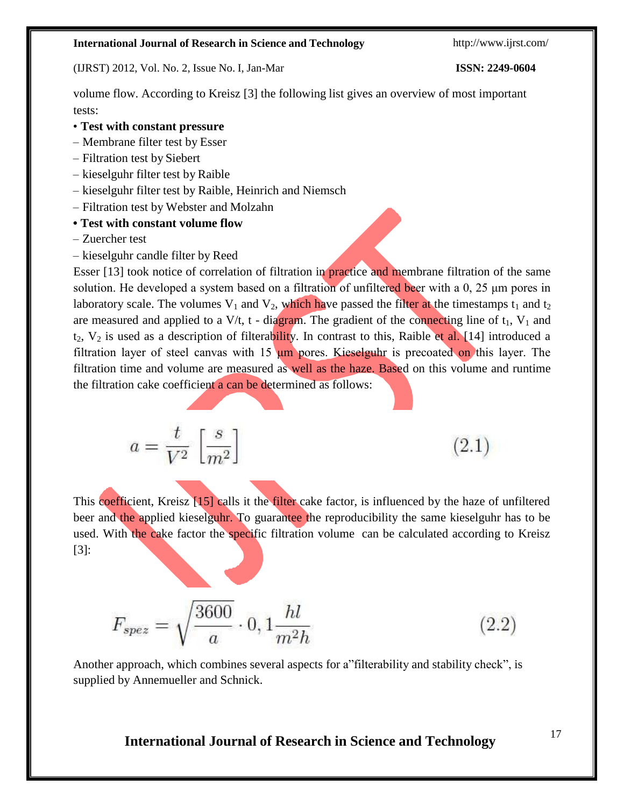(IJRST) 2012, Vol. No. 2, Issue No. I, Jan-Mar **ISSN: 2249-0604**

volume flow. According to Kreisz [3] the following list gives an overview of most important tests:

- **Test with constant pressure**
- Membrane filter test by Esser
- Filtration test by Siebert
- kieselguhr filter test by Raible
- kieselguhr filter test by Raible, Heinrich and Niemsch
- Filtration test by Webster and Molzahn
- **• Test with constant volume flow**
- Zuercher test
- kieselguhr candle filter by Reed

Esser [13] took notice of correlation of filtration in practice and membrane filtration of the same solution. He developed a system based on a filtration of unfiltered beer with a  $0$ ,  $25 \mu m$  pores in laboratory scale. The volumes  $V_1$  and  $V_2$ , which have passed the filter at the timestamps  $t_1$  and  $t_2$ are measured and applied to a  $V/t$ , t - diagram. The gradient of the connecting line of  $t_1$ ,  $V_1$  and  $t_2$ ,  $V_2$  is used as a description of filterability. In contrast to this, Raible et al. [14] introduced a filtration layer of steel canvas with  $15 \mu m$  pores. Kieselguhr is precoated on this layer. The filtration time and volume are measured as well as the haze. Based on this volume and runtime the filtration cake coefficient a can be determined as follows:

$$
a = \frac{t}{V^2} \left[ \frac{s}{m^2} \right]
$$

 $(2.1)$ 

This coefficient, Kreisz [15] calls it the filter cake factor, is influenced by the haze of unfiltered beer and the applied kieselguhr. To guarantee the reproducibility the same kieselguhr has to be used. With the cake factor the specific filtration volume can be calculated according to Kreisz [3]:

$$
F_{spez} = \sqrt{\frac{3600}{a}} \cdot 0, 1\frac{hl}{m^2h}
$$
 (2.2)

Another approach, which combines several aspects for a"filterability and stability check", is supplied by Annemueller and Schnick.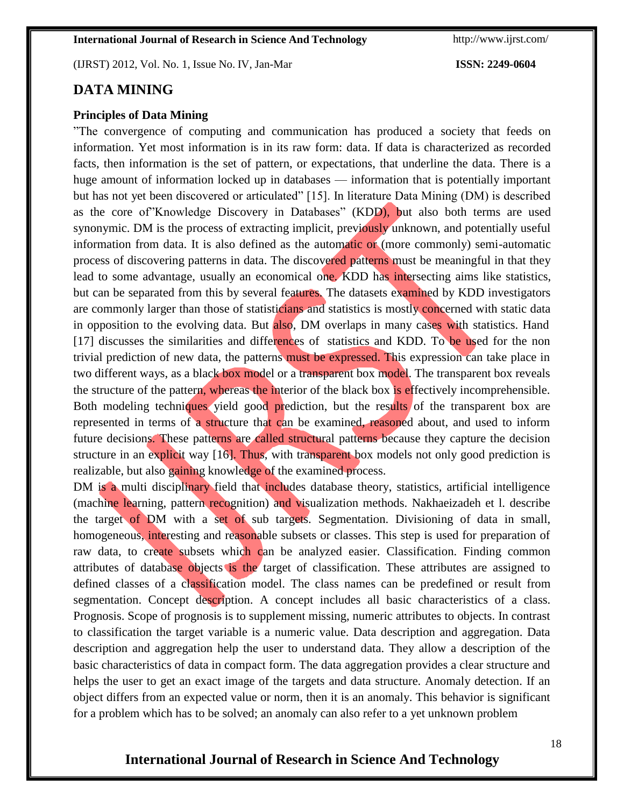(IJRST) 2012, Vol. No. 1, Issue No. IV, Jan-Mar **ISSN: 2249-0604**

### **DATA MINING**

### **Principles of Data Mining**

"The convergence of computing and communication has produced a society that feeds on information. Yet most information is in its raw form: data. If data is characterized as recorded facts, then information is the set of pattern, or expectations, that underline the data. There is a huge amount of information locked up in databases — information that is potentially important but has not yet been discovered or articulated" [15]. In literature Data Mining (DM) is described as the core of"Knowledge Discovery in Databases" (KDD), but also both terms are used synonymic. DM is the process of extracting implicit, previously unknown, and potentially useful information from data. It is also defined as the automatic or (more commonly) semi-automatic process of discovering patterns in data. The discovered patterns must be meaningful in that they lead to some advantage, usually an economical one. KDD has intersecting aims like statistics, but can be separated from this by several features. The datasets examined by KDD investigators are commonly larger than those of statisticians and statistics is mostly concerned with static data in opposition to the evolving data. But also, DM overlaps in many cases with statistics. Hand [17] discusses the similarities and differences of statistics and KDD. To be used for the non trivial prediction of new data, the patterns must be expressed. This expression can take place in two different ways, as a black box model or a transparent box model. The transparent box reveals the structure of the pattern, whereas the interior of the black box is effectively incomprehensible. Both modeling techniques yield good prediction, but the results of the transparent box are represented in terms of a structure that can be examined, reasoned about, and used to inform future decisions. These patterns are called structural patterns because they capture the decision structure in an explicit way [16]. Thus, with transparent box models not only good prediction is realizable, but also gaining knowledge of the examined process.

DM is a multi disciplinary field that includes database theory, statistics, artificial intelligence (machine learning, pattern recognition) and visualization methods. Nakhaeizadeh et l. describe the target of DM with a set of sub targets. Segmentation. Divisioning of data in small, homogeneous, interesting and reasonable subsets or classes. This step is used for preparation of raw data, to create subsets which can be analyzed easier. Classification. Finding common attributes of database objects is the target of classification. These attributes are assigned to defined classes of a classification model. The class names can be predefined or result from segmentation. Concept description. A concept includes all basic characteristics of a class. Prognosis. Scope of prognosis is to supplement missing, numeric attributes to objects. In contrast to classification the target variable is a numeric value. Data description and aggregation. Data description and aggregation help the user to understand data. They allow a description of the basic characteristics of data in compact form. The data aggregation provides a clear structure and helps the user to get an exact image of the targets and data structure. Anomaly detection. If an object differs from an expected value or norm, then it is an anomaly. This behavior is significant for a problem which has to be solved; an anomaly can also refer to a yet unknown problem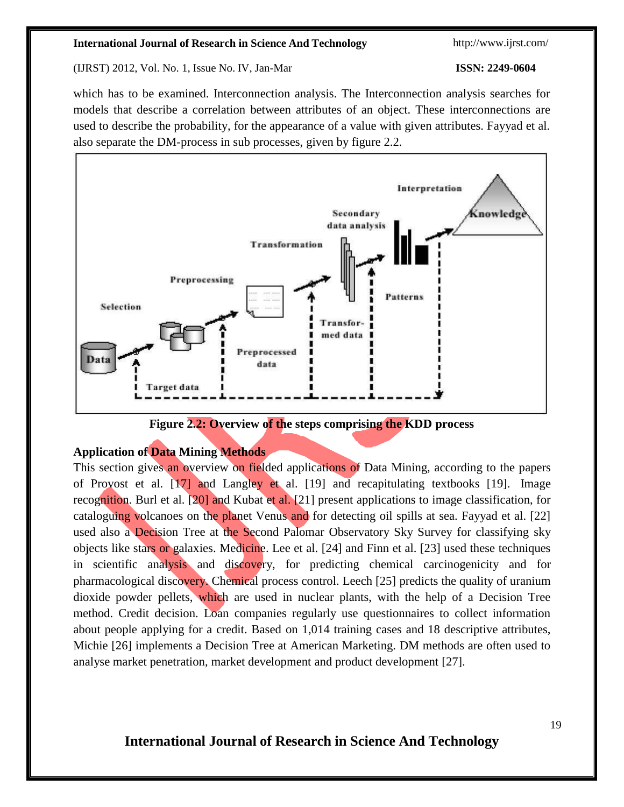(IJRST) 2012, Vol. No. 1, Issue No. IV, Jan-Mar **ISSN: 2249-0604**

which has to be examined. Interconnection analysis. The Interconnection analysis searches for models that describe a correlation between attributes of an object. These interconnections are used to describe the probability, for the appearance of a value with given attributes. Fayyad et al. also separate the DM-process in sub processes, given by figure 2.2.



**Figure 2.2: Overview of the steps comprising the KDD process**

### **Application of Data Mining Methods**

This section gives an overview on fielded applications of Data Mining, according to the papers of Provost et al. [17] and Langley et al. [19] and recapitulating textbooks [19]. Image recognition. Burl et al. [20] and Kubat et al. [21] present applications to image classification, for cataloguing volcanoes on the planet Venus and for detecting oil spills at sea. Fayyad et al. [22] used also a Decision Tree at the Second Palomar Observatory Sky Survey for classifying sky objects like stars or galaxies. Medicine. Lee et al. [24] and Finn et al. [23] used these techniques in scientific analysis and discovery, for predicting chemical carcinogenicity and for pharmacological discovery. Chemical process control. Leech [25] predicts the quality of uranium dioxide powder pellets, which are used in nuclear plants, with the help of a Decision Tree method. Credit decision. Loan companies regularly use questionnaires to collect information about people applying for a credit. Based on 1,014 training cases and 18 descriptive attributes, Michie [26] implements a Decision Tree at American Marketing. DM methods are often used to analyse market penetration, market development and product development [27].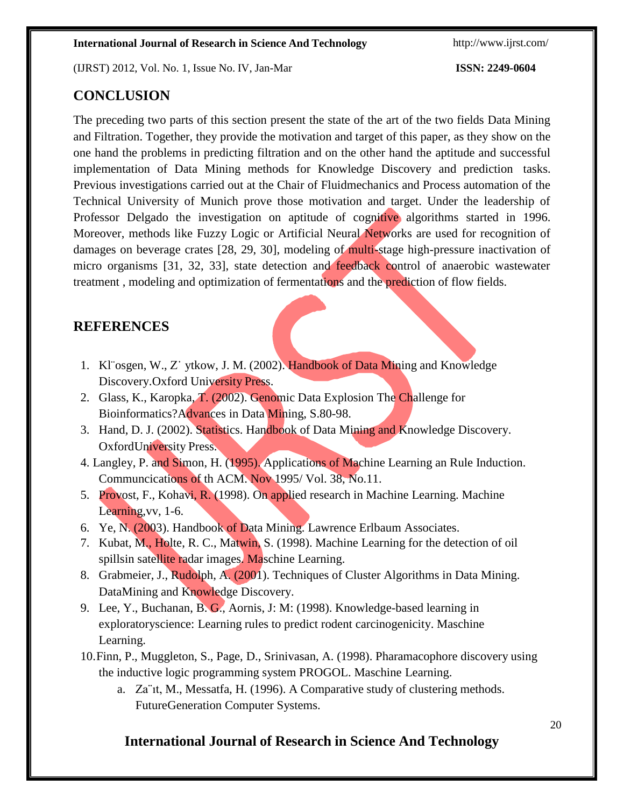(IJRST) 2012, Vol. No. 1, Issue No. IV, Jan-Mar **ISSN: 2249-0604**

### **CONCLUSION**

The preceding two parts of this section present the state of the art of the two fields Data Mining and Filtration. Together, they provide the motivation and target of this paper, as they show on the one hand the problems in predicting filtration and on the other hand the aptitude and successful implementation of Data Mining methods for Knowledge Discovery and prediction tasks. Previous investigations carried out at the Chair of Fluidmechanics and Process automation of the Technical University of Munich prove those motivation and target. Under the leadership of Professor Delgado the investigation on aptitude of cognitive algorithms started in 1996. Moreover, methods like Fuzzy Logic or Artificial Neural Networks are used for recognition of damages on beverage crates [28, 29, 30], modeling of multi-stage high-pressure inactivation of micro organisms [31, 32, 33], state detection and feedback control of anaerobic wastewater treatment , modeling and optimization of fermentations and the prediction of flow fields.

## **REFERENCES**

- 1. Kl¨osgen, W., Z˙ ytkow, J. M. (2002). Handbook of Data Mining and Knowledge Discovery.Oxford University Press.
- 2. Glass, K., Karopka, T. (2002). Genomic Data Explosion The Challenge for Bioinformatics?Advances in Data Mining, S.80-98.
- 3. Hand, D. J. (2002). Statistics. Handbook of Data Mining and Knowledge Discovery. OxfordUniversity Press.
- 4. Langley, P. and Simon, H. (1995). Applications of Machine Learning an Rule Induction. Communcications of th ACM. Nov 1995/ Vol. 38, No.11.
- 5. Provost, F., Kohavi, R. (1998). On applied research in Machine Learning. Machine Learning, vv, 1-6.
- 6. Ye, N. (2003). Handbook of Data Mining. Lawrence Erlbaum Associates.
- 7. Kubat, M., Holte, R. C., Matwin, S. (1998). Machine Learning for the detection of oil spillsin satellite radar images. Maschine Learning.
- 8. Grabmeier, J., Rudolph, A. (2001). Techniques of Cluster Algorithms in Data Mining. DataMining and Knowledge Discovery.
- 9. Lee, Y., Buchanan, B. G., Aornis, J: M: (1998). Knowledge-based learning in exploratoryscience: Learning rules to predict rodent carcinogenicity. Maschine Learning.
- 10.Finn, P., Muggleton, S., Page, D., Srinivasan, A. (1998). Pharamacophore discovery using the inductive logic programming system PROGOL. Maschine Learning.
	- a. Za¨ıt, M., Messatfa, H. (1996). A Comparative study of clustering methods. FutureGeneration Computer Systems.